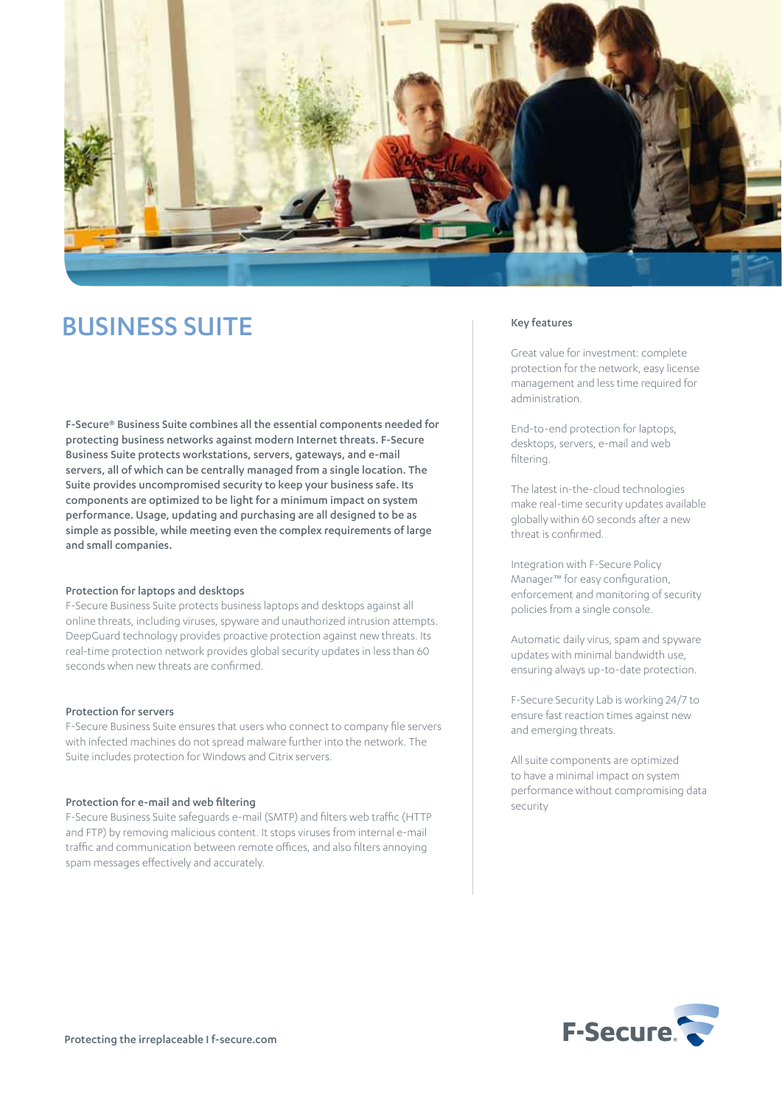

# BUSINESS SUITE

F-Secure® Business Suite combines all the essential components needed for protecting business networks against modern Internet threats. F-Secure Business Suite protects workstations, servers, gateways, and e-mail servers, all of which can be centrally managed from a single location. The Suite provides uncompromised security to keep your business safe. Its components are optimized to be light for a minimum impact on system performance. Usage, updating and purchasing are all designed to be as simple as possible, while meeting even the complex requirements of large and small companies.

#### Protection for laptops and desktops

F-Secure Business Suite protects business laptops and desktops against all online threats, including viruses, spyware and unauthorized intrusion attempts. DeepGuard technology provides proactive protection against new threats. Its real-time protection network provides global security updates in less than 60 seconds when new threats are confirmed.

## Protection for servers

F-Secure Business Suite ensures that users who connect to company file servers with infected machines do not spread malware further into the network. The Suite includes protection for Windows and Citrix servers.

#### Protection for e-mail and web filtering

F-Secure Business Suite safeguards e-mail (SMTP) and filters web traffic (HTTP and FTP) by removing malicious content. It stops viruses from internal e-mail traffic and communication between remote offices, and also filters annoying spam messages effectively and accurately.

# Key features

Great value for investment: complete protection for the network, easy license management and less time required for administration.

End-to-end protection for laptops, desktops, servers, e-mail and web filtering.

The latest in-the-cloud technologies make real-time security updates available globally within 60 seconds after a new threat is confirmed.

Integration with F-Secure Policy Manager™ for easy configuration, enforcement and monitoring of security policies from a single console.

Automatic daily virus, spam and spyware updates with minimal bandwidth use, ensuring always up-to-date protection.

F-Secure Security Lab is working 24/7 to ensure fast reaction times against new and emerging threats.

All suite components are optimized to have a minimal impact on system performance without compromising data security